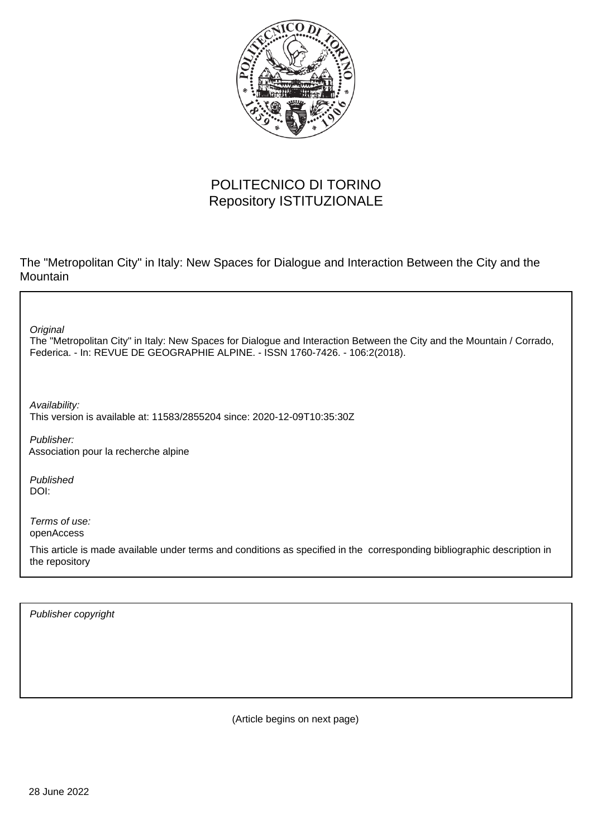

# POLITECNICO DI TORINO Repository ISTITUZIONALE

The "Metropolitan City" in Italy: New Spaces for Dialogue and Interaction Between the City and the Mountain

**Original** 

The "Metropolitan City" in Italy: New Spaces for Dialogue and Interaction Between the City and the Mountain / Corrado, Federica. - In: REVUE DE GEOGRAPHIE ALPINE. - ISSN 1760-7426. - 106:2(2018).

Availability: This version is available at: 11583/2855204 since: 2020-12-09T10:35:30Z

Publisher: Association pour la recherche alpine

Published DOI:

Terms of use: openAccess

This article is made available under terms and conditions as specified in the corresponding bibliographic description in the repository

Publisher copyright

(Article begins on next page)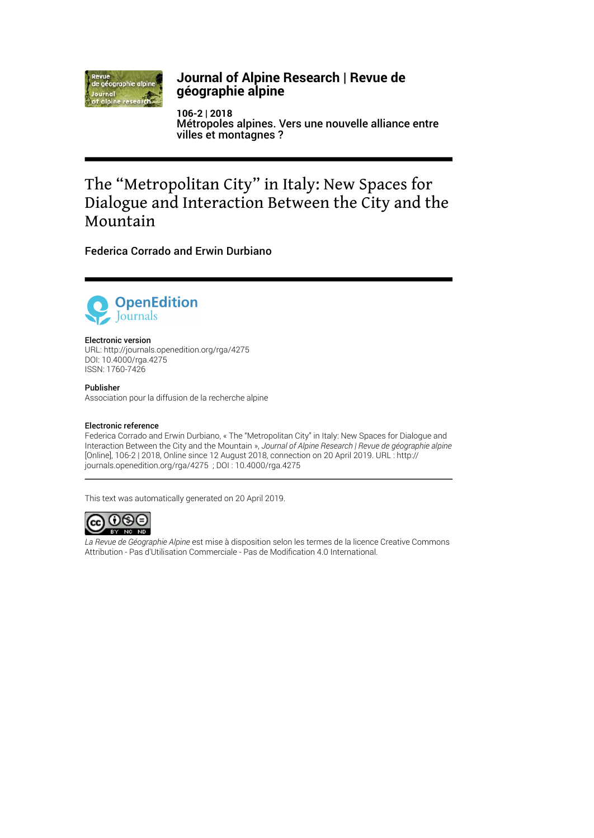

### **Journal of Alpine Research | Revue de géographie alpine**

**106-2 | 2018** Métropoles alpines. Vers une nouvelle alliance entre villes et montagnes ?

# The "Metropolitan City" in Italy: New Spaces for Dialogue and Interaction Between the City and the Mountain

Federica Corrado and Erwin Durbiano



#### Electronic version

URL:<http://journals.openedition.org/rga/4275> DOI: 10.4000/rga.4275 ISSN: 1760-7426

#### Publisher

Association pour la diffusion de la recherche alpine

#### Electronic reference

Federica Corrado and Erwin Durbiano, « The "Metropolitan City" in Italy: New Spaces for Dialogue and Interaction Between the City and the Mountain », *Journal of Alpine Research | Revue de géographie alpine* [Online], 106-2 | 2018, Online since 12 August 2018, connection on 20 April 2019. URL : http:// journals.openedition.org/rga/4275 ; DOI : 10.4000/rga.4275

This text was automatically generated on 20 April 2019.



*La Revue de Géographie Alpine* est mise à disposition selon les termes de la [licence Creative Commons](http://creativecommons.org/licenses/by-nc-nd/4.0/) [Attribution - Pas d'Utilisation Commerciale - Pas de Modi](http://creativecommons.org/licenses/by-nc-nd/4.0/)fication 4.0 International.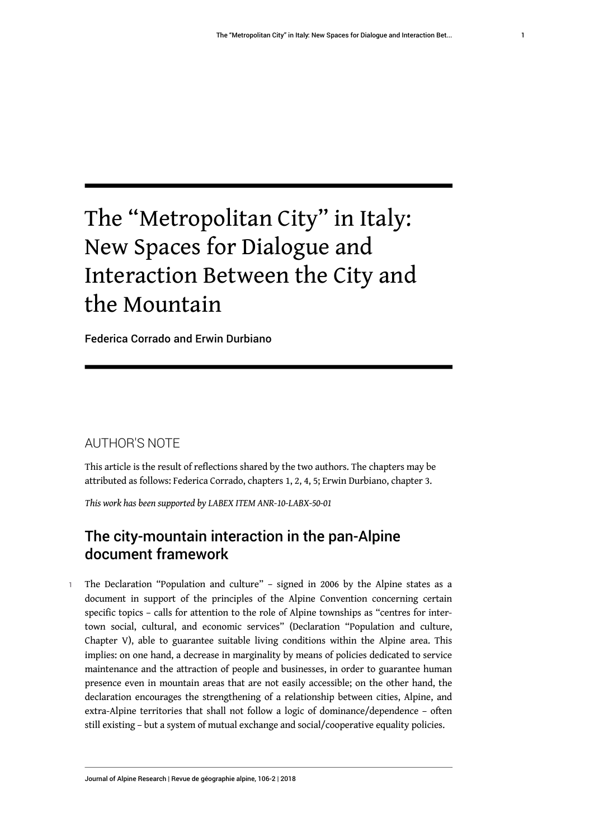# The "Metropolitan City" in Italy: New Spaces for Dialogue and Interaction Between the City and the Mountain

Federica Corrado and Erwin Durbiano

# AUTHOR'S NOTE

This article is the result of reflections shared by the two authors. The chapters may be attributed as follows: Federica Corrado, chapters 1, 2, 4, 5; Erwin Durbiano, chapter 3.

*This work has been supported by LABEX ITEM ANR-10-LABX-50-01*

# The city-mountain interaction in the pan-Alpine document framework

1 The Declaration "Population and culture" – signed in 2006 by the Alpine states as a document in support of the principles of the Alpine Convention concerning certain specific topics – calls for attention to the role of Alpine townships as "centres for intertown social, cultural, and economic services" (Declaration "Population and culture, Chapter V), able to guarantee suitable living conditions within the Alpine area. This implies: on one hand, a decrease in marginality by means of policies dedicated to service maintenance and the attraction of people and businesses, in order to guarantee human presence even in mountain areas that are not easily accessible; on the other hand, the declaration encourages the strengthening of a relationship between cities, Alpine, and extra-Alpine territories that shall not follow a logic of dominance/dependence – often still existing – but a system of mutual exchange and social/cooperative equality policies.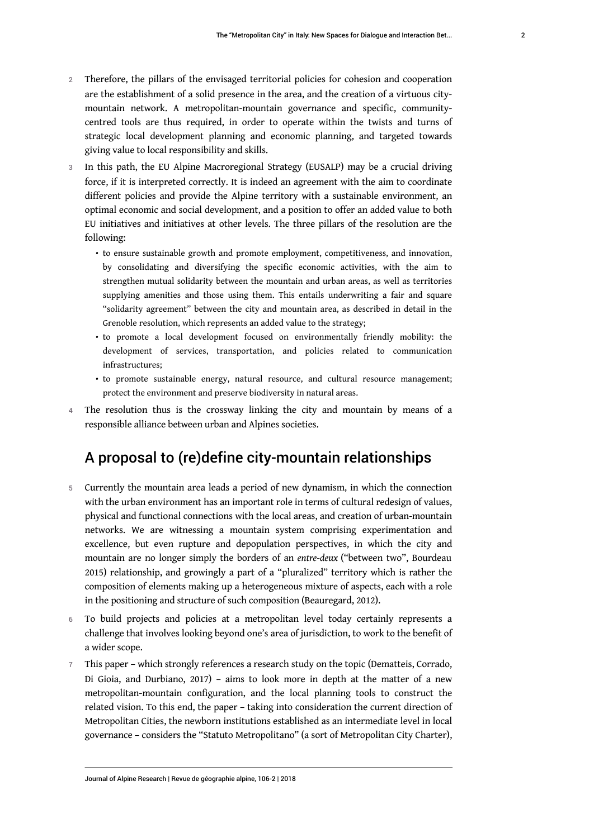- 2 Therefore, the pillars of the envisaged territorial policies for cohesion and cooperation are the establishment of a solid presence in the area, and the creation of a virtuous citymountain network. A metropolitan-mountain governance and specific, communitycentred tools are thus required, in order to operate within the twists and turns of strategic local development planning and economic planning, and targeted towards giving value to local responsibility and skills.
- 3 In this path, the EU Alpine Macroregional Strategy (EUSALP) may be a crucial driving force, if it is interpreted correctly. It is indeed an agreement with the aim to coordinate different policies and provide the Alpine territory with a sustainable environment, an optimal economic and social development, and a position to offer an added value to both EU initiatives and initiatives at other levels. The three pillars of the resolution are the following:
	- to ensure sustainable growth and promote employment, competitiveness, and innovation, by consolidating and diversifying the specific economic activities, with the aim to strengthen mutual solidarity between the mountain and urban areas, as well as territories supplying amenities and those using them. This entails underwriting a fair and square "solidarity agreement" between the city and mountain area, as described in detail in the Grenoble resolution, which represents an added value to the strategy;
	- to promote a local development focused on environmentally friendly mobility: the development of services, transportation, and policies related to communication infrastructures;
	- to promote sustainable energy, natural resource, and cultural resource management; protect the environment and preserve biodiversity in natural areas.
- 4 The resolution thus is the crossway linking the city and mountain by means of a responsible alliance between urban and Alpines societies.

### A proposal to (re)define city-mountain relationships

- 5 Currently the mountain area leads a period of new dynamism, in which the connection with the urban environment has an important role in terms of cultural redesign of values, physical and functional connections with the local areas, and creation of urban-mountain networks. We are witnessing a mountain system comprising experimentation and excellence, but even rupture and depopulation perspectives, in which the city and mountain are no longer simply the borders of an *entre-deux* ("between two", Bourdeau 2015) relationship, and growingly a part of a "pluralized" territory which is rather the composition of elements making up a heterogeneous mixture of aspects, each with a role in the positioning and structure of such composition (Beauregard, 2012).
- 6 To build projects and policies at a metropolitan level today certainly represents a challenge that involves looking beyond one's area of jurisdiction, to work to the benefit of a wider scope.
- 7 This paper which strongly references a research study on the topic (Dematteis, Corrado, Di Gioia, and Durbiano, 2017) – aims to look more in depth at the matter of a new metropolitan-mountain configuration, and the local planning tools to construct the related vision. To this end, the paper – taking into consideration the current direction of Metropolitan Cities, the newborn institutions established as an intermediate level in local governance – considers the "Statuto Metropolitano" (a sort of Metropolitan City Charter),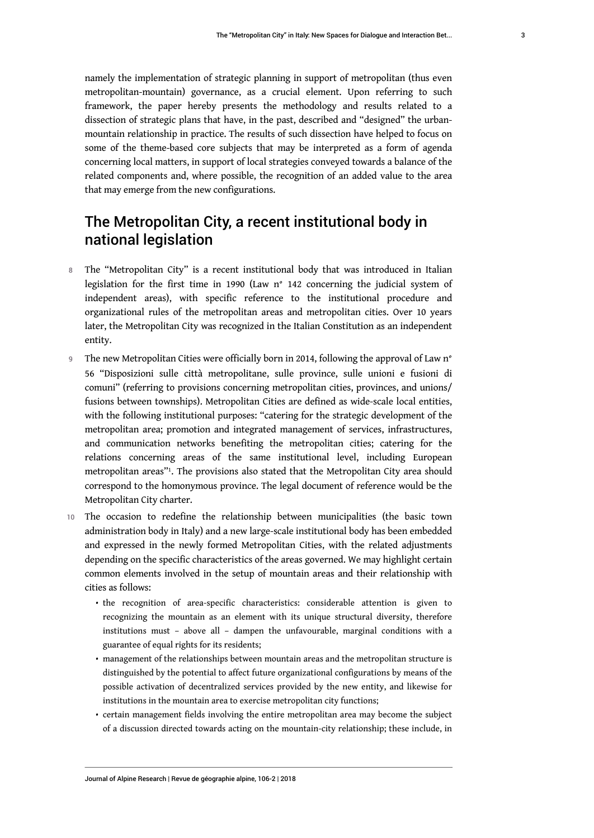namely the implementation of strategic planning in support of metropolitan (thus even metropolitan-mountain) governance, as a crucial element. Upon referring to such framework, the paper hereby presents the methodology and results related to a dissection of strategic plans that have, in the past, described and "designed" the urbanmountain relationship in practice. The results of such dissection have helped to focus on some of the theme-based core subjects that may be interpreted as a form of agenda concerning local matters, in support of local strategies conveyed towards a balance of the related components and, where possible, the recognition of an added value to the area that may emerge from the new configurations.

# The Metropolitan City, a recent institutional body in national legislation

- 8 The "Metropolitan City" is a recent institutional body that was introduced in Italian legislation for the first time in 1990 (Law n° 142 concerning the judicial system of independent areas), with specific reference to the institutional procedure and organizational rules of the metropolitan areas and metropolitan cities. Over 10 years later, the Metropolitan City was recognized in the Italian Constitution as an independent entity.
- 9 The new Metropolitan Cities were officially born in 2014, following the approval of Law n° 56 "Disposizioni sulle città metropolitane, sulle province, sulle unioni e fusioni di comuni" (referring to provisions concerning metropolitan cities, provinces, and unions/ fusions between townships). Metropolitan Cities are defined as wide-scale local entities, with the following institutional purposes: "catering for the strategic development of the metropolitan area; promotion and integrated management of services, infrastructures, and communication networks benefiting the metropolitan cities; catering for the relations concerning areas of the same institutional level, including European metropolitan areas"[1](#page-11-0) . The provisions also stated that the Metropolitan City area should correspond to the homonymous province. The legal document of reference would be the Metropolitan City charter.
- <span id="page-4-0"></span>10 The occasion to redefine the relationship between municipalities (the basic town administration body in Italy) and a new large-scale institutional body has been embedded and expressed in the newly formed Metropolitan Cities, with the related adjustments depending on the specific characteristics of the areas governed. We may highlight certain common elements involved in the setup of mountain areas and their relationship with cities as follows:
	- the recognition of area-specific characteristics: considerable attention is given to recognizing the mountain as an element with its unique structural diversity, therefore institutions must – above all – dampen the unfavourable, marginal conditions with a guarantee of equal rights for its residents;
	- management of the relationships between mountain areas and the metropolitan structure is distinguished by the potential to affect future organizational configurations by means of the possible activation of decentralized services provided by the new entity, and likewise for institutions in the mountain area to exercise metropolitan city functions;
	- certain management fields involving the entire metropolitan area may become the subject of a discussion directed towards acting on the mountain-city relationship; these include, in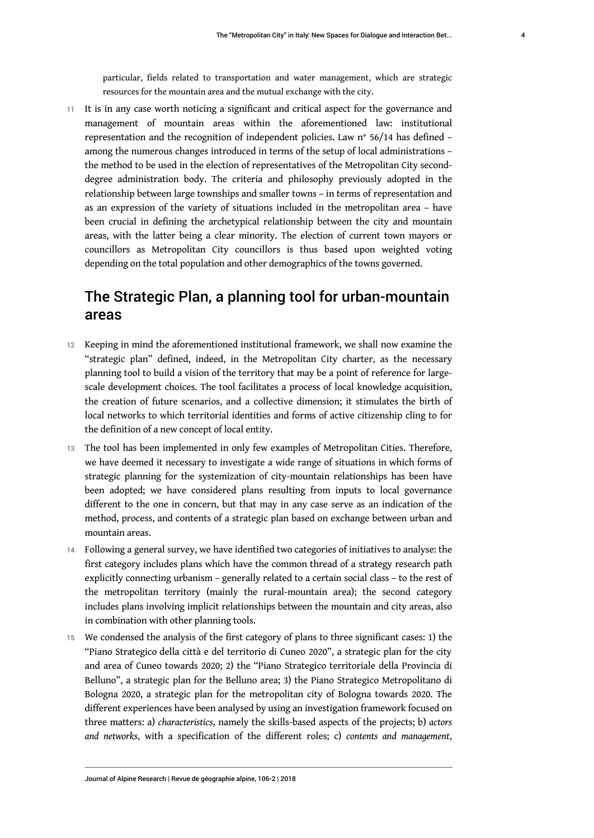particular, fields related to transportation and water management, which are strategic resources for the mountain area and the mutual exchange with the city.

11 It is in any case worth noticing a significant and critical aspect for the governance and management of mountain areas within the aforementioned law: institutional representation and the recognition of independent policies. Law n° 56/14 has defined – among the numerous changes introduced in terms of the setup of local administrations – the method to be used in the election of representatives of the Metropolitan City seconddegree administration body. The criteria and philosophy previously adopted in the relationship between large townships and smaller towns – in terms of representation and as an expression of the variety of situations included in the metropolitan area – have been crucial in defining the archetypical relationship between the city and mountain areas, with the latter being a clear minority. The election of current town mayors or councillors as Metropolitan City councillors is thus based upon weighted voting depending on the total population and other demographics of the towns governed.

# The Strategic Plan, a planning tool for urban-mountain areas

- 12 Keeping in mind the aforementioned institutional framework, we shall now examine the "strategic plan" defined, indeed, in the Metropolitan City charter, as the necessary planning tool to build a vision of the territory that may be a point of reference for largescale development choices. The tool facilitates a process of local knowledge acquisition, the creation of future scenarios, and a collective dimension; it stimulates the birth of local networks to which territorial identities and forms of active citizenship cling to for the definition of a new concept of local entity.
- 13 The tool has been implemented in only few examples of Metropolitan Cities. Therefore, we have deemed it necessary to investigate a wide range of situations in which forms of strategic planning for the systemization of city-mountain relationships has been have been adopted; we have considered plans resulting from inputs to local governance different to the one in concern, but that may in any case serve as an indication of the method, process, and contents of a strategic plan based on exchange between urban and mountain areas.
- 14 Following a general survey, we have identified two categories of initiatives to analyse: the first category includes plans which have the common thread of a strategy research path explicitly connecting urbanism – generally related to a certain social class – to the rest of the metropolitan territory (mainly the rural-mountain area); the second category includes plans involving implicit relationships between the mountain and city areas, also in combination with other planning tools.
- 15 We condensed the analysis of the first category of plans to three significant cases: 1) the "Piano Strategico della città e del territorio di Cuneo 2020", a strategic plan for the city and area of Cuneo towards 2020; 2) the "Piano Strategico territoriale della Provincia di Belluno", a strategic plan for the Belluno area; 3) the Piano Strategico Metropolitano di Bologna 2020, a strategic plan for the metropolitan city of Bologna towards 2020. The different experiences have been analysed by using an investigation framework focused on three matters: a) *characteristics*, namely the skills-based aspects of the projects; b) *actors and networks*, with a specification of the different roles; c) *contents and management*,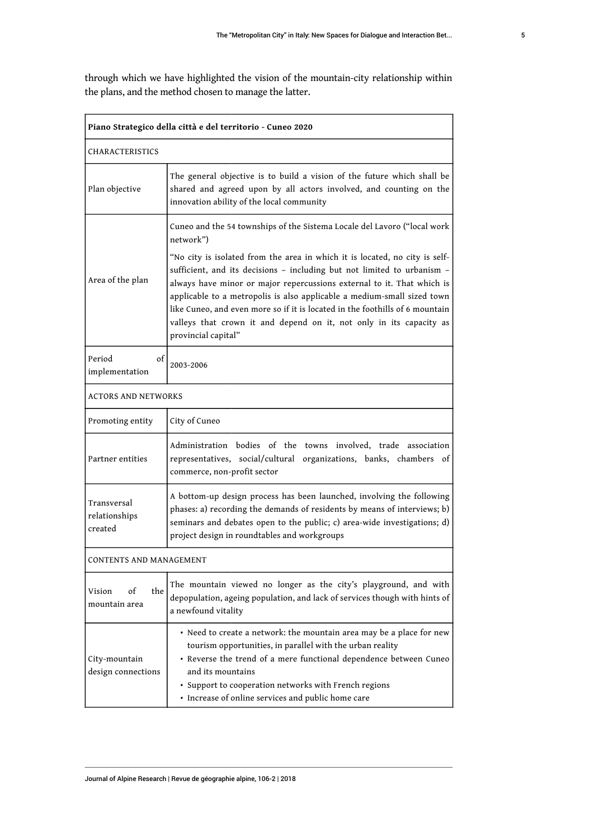through which we have highlighted the vision of the mountain-city relationship within the plans, and the method chosen to manage the latter.

| Piano Strategico della città e del territorio - Cuneo 2020                                                                                                                                                                                                                                                                                                                        |                                                                                                                                                                                                                                                                                                                                                                                                                                                                                           |  |  |  |
|-----------------------------------------------------------------------------------------------------------------------------------------------------------------------------------------------------------------------------------------------------------------------------------------------------------------------------------------------------------------------------------|-------------------------------------------------------------------------------------------------------------------------------------------------------------------------------------------------------------------------------------------------------------------------------------------------------------------------------------------------------------------------------------------------------------------------------------------------------------------------------------------|--|--|--|
| CHARACTERISTICS                                                                                                                                                                                                                                                                                                                                                                   |                                                                                                                                                                                                                                                                                                                                                                                                                                                                                           |  |  |  |
| Plan objective                                                                                                                                                                                                                                                                                                                                                                    | The general objective is to build a vision of the future which shall be<br>shared and agreed upon by all actors involved, and counting on the<br>innovation ability of the local community                                                                                                                                                                                                                                                                                                |  |  |  |
|                                                                                                                                                                                                                                                                                                                                                                                   | Cuneo and the 54 townships of the Sistema Locale del Lavoro ("local work<br>network")                                                                                                                                                                                                                                                                                                                                                                                                     |  |  |  |
| Area of the plan                                                                                                                                                                                                                                                                                                                                                                  | "No city is isolated from the area in which it is located, no city is self-<br>sufficient, and its decisions - including but not limited to urbanism -<br>always have minor or major repercussions external to it. That which is<br>applicable to a metropolis is also applicable a medium-small sized town<br>like Cuneo, and even more so if it is located in the foothills of 6 mountain<br>valleys that crown it and depend on it, not only in its capacity as<br>provincial capital" |  |  |  |
| Period<br>οf<br>implementation                                                                                                                                                                                                                                                                                                                                                    | 2003-2006                                                                                                                                                                                                                                                                                                                                                                                                                                                                                 |  |  |  |
| <b>ACTORS AND NETWORKS</b>                                                                                                                                                                                                                                                                                                                                                        |                                                                                                                                                                                                                                                                                                                                                                                                                                                                                           |  |  |  |
| Promoting entity                                                                                                                                                                                                                                                                                                                                                                  | City of Cuneo                                                                                                                                                                                                                                                                                                                                                                                                                                                                             |  |  |  |
| Partner entities                                                                                                                                                                                                                                                                                                                                                                  | Administration bodies of the towns involved, trade association<br>representatives, social/cultural organizations, banks, chambers of<br>commerce, non-profit sector                                                                                                                                                                                                                                                                                                                       |  |  |  |
| Transversal<br>relationships<br>created                                                                                                                                                                                                                                                                                                                                           | A bottom-up design process has been launched, involving the following<br>phases: a) recording the demands of residents by means of interviews; b)<br>seminars and debates open to the public; c) area-wide investigations; d)<br>project design in roundtables and workgroups                                                                                                                                                                                                             |  |  |  |
| CONTENTS AND MANAGEMENT                                                                                                                                                                                                                                                                                                                                                           |                                                                                                                                                                                                                                                                                                                                                                                                                                                                                           |  |  |  |
| οf<br>the<br>Vision<br>mountain area                                                                                                                                                                                                                                                                                                                                              | The mountain viewed no longer as the city's playground, and with<br>depopulation, ageing population, and lack of services though with hints of<br>a newfound vitality                                                                                                                                                                                                                                                                                                                     |  |  |  |
| • Need to create a network: the mountain area may be a place for new<br>tourism opportunities, in parallel with the urban reality<br>• Reverse the trend of a mere functional dependence between Cuneo<br>City-mountain<br>design connections<br>and its mountains<br>• Support to cooperation networks with French regions<br>· Increase of online services and public home care |                                                                                                                                                                                                                                                                                                                                                                                                                                                                                           |  |  |  |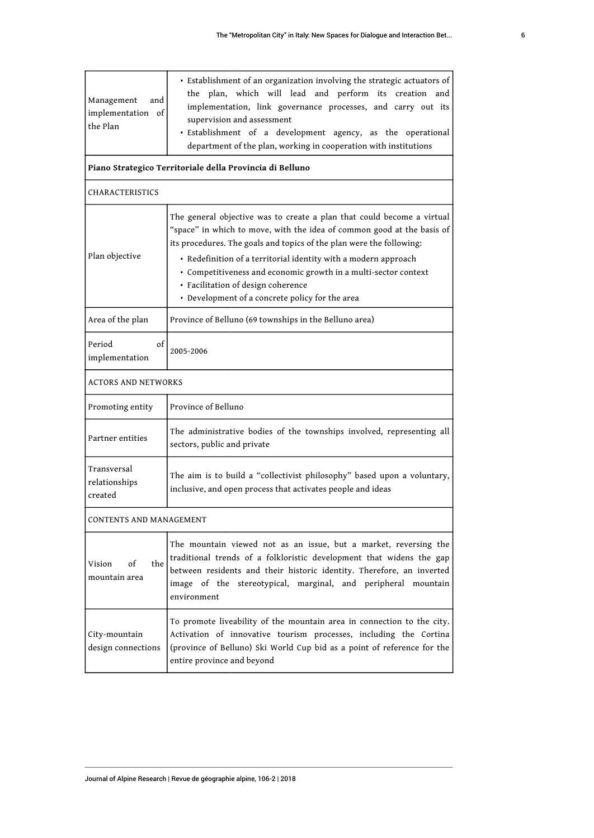| Management<br>and<br>implementation of<br>the Plan       | · Establishment of an organization involving the strategic actuators of<br>the plan, which will lead and perform its creation and<br>implementation, link governance processes, and carry out its<br>supervision and assessment<br>· Establishment of a development agency, as the operational<br>department of the plan, working in cooperation with institutions                                                                                      |  |  |  |
|----------------------------------------------------------|---------------------------------------------------------------------------------------------------------------------------------------------------------------------------------------------------------------------------------------------------------------------------------------------------------------------------------------------------------------------------------------------------------------------------------------------------------|--|--|--|
| Piano Strategico Territoriale della Provincia di Belluno |                                                                                                                                                                                                                                                                                                                                                                                                                                                         |  |  |  |
| CHARACTERISTICS                                          |                                                                                                                                                                                                                                                                                                                                                                                                                                                         |  |  |  |
| Plan objective                                           | The general objective was to create a plan that could become a virtual<br>"space" in which to move, with the idea of common good at the basis of<br>its procedures. The goals and topics of the plan were the following:<br>• Redefinition of a territorial identity with a modern approach<br>· Competitiveness and economic growth in a multi-sector context<br>· Facilitation of design coherence<br>· Development of a concrete policy for the area |  |  |  |
| Area of the plan                                         | Province of Belluno (69 townships in the Belluno area)                                                                                                                                                                                                                                                                                                                                                                                                  |  |  |  |
| of<br>Period<br>implementation                           | 2005-2006                                                                                                                                                                                                                                                                                                                                                                                                                                               |  |  |  |
| <b>ACTORS AND NETWORKS</b>                               |                                                                                                                                                                                                                                                                                                                                                                                                                                                         |  |  |  |
| Promoting entity                                         | Province of Belluno                                                                                                                                                                                                                                                                                                                                                                                                                                     |  |  |  |
| Partner entities                                         | The administrative bodies of the townships involved, representing all<br>sectors, public and private                                                                                                                                                                                                                                                                                                                                                    |  |  |  |
| Transversal<br>relationships<br>created                  | The aim is to build a "collectivist philosophy" based upon a voluntary,<br>inclusive, and open process that activates people and ideas                                                                                                                                                                                                                                                                                                                  |  |  |  |
| CONTENTS AND MANAGEMENT                                  |                                                                                                                                                                                                                                                                                                                                                                                                                                                         |  |  |  |
| Vision<br>of<br>the  <br>mountain area                   | The mountain viewed not as an issue, but a market, reversing the<br>traditional trends of a folkloristic development that widens the gap<br>between residents and their historic identity. Therefore, an inverted<br>image of the stereotypical, marginal, and peripheral mountain<br>environment                                                                                                                                                       |  |  |  |
| City-mountain<br>design connections                      | To promote liveability of the mountain area in connection to the city.<br>Activation of innovative tourism processes, including the Cortina<br>(province of Belluno) Ski World Cup bid as a point of reference for the<br>entire province and beyond                                                                                                                                                                                                    |  |  |  |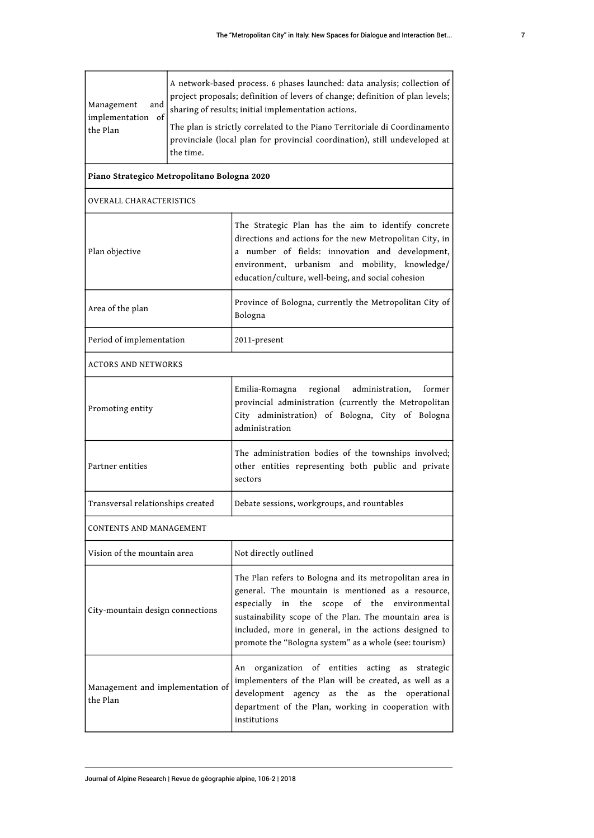| Management<br>and<br>implementation of<br>the Plan | the time. | A network-based process. 6 phases launched: data analysis; collection of<br>project proposals; definition of levers of change; definition of plan levels;<br>sharing of results; initial implementation actions.<br>The plan is strictly correlated to the Piano Territoriale di Coordinamento<br>provinciale (local plan for provincial coordination), still undeveloped at |  |  |
|----------------------------------------------------|-----------|------------------------------------------------------------------------------------------------------------------------------------------------------------------------------------------------------------------------------------------------------------------------------------------------------------------------------------------------------------------------------|--|--|
| Piano Strategico Metropolitano Bologna 2020        |           |                                                                                                                                                                                                                                                                                                                                                                              |  |  |
| OVERALL CHARACTERISTICS                            |           |                                                                                                                                                                                                                                                                                                                                                                              |  |  |
| Plan objective                                     |           | The Strategic Plan has the aim to identify concrete<br>directions and actions for the new Metropolitan City, in<br>a number of fields: innovation and development,<br>environment, urbanism and mobility, knowledge/<br>education/culture, well-being, and social cohesion                                                                                                   |  |  |
| Area of the plan                                   |           | Province of Bologna, currently the Metropolitan City of<br>Bologna                                                                                                                                                                                                                                                                                                           |  |  |
| Period of implementation                           |           | 2011-present                                                                                                                                                                                                                                                                                                                                                                 |  |  |
| ACTORS AND NETWORKS                                |           |                                                                                                                                                                                                                                                                                                                                                                              |  |  |
| Promoting entity                                   |           | regional<br>Emilia-Romagna<br>administration,<br>former<br>provincial administration (currently the Metropolitan<br>City administration) of Bologna, City of Bologna<br>administration                                                                                                                                                                                       |  |  |
| Partner entities                                   |           | The administration bodies of the townships involved;<br>other entities representing both public and private<br>sectors                                                                                                                                                                                                                                                       |  |  |
| Transversal relationships created                  |           | Debate sessions, workgroups, and rountables                                                                                                                                                                                                                                                                                                                                  |  |  |
| CONTENTS AND MANAGEMENT                            |           |                                                                                                                                                                                                                                                                                                                                                                              |  |  |
| Vision of the mountain area                        |           | Not directly outlined                                                                                                                                                                                                                                                                                                                                                        |  |  |
| City-mountain design connections                   |           | The Plan refers to Bologna and its metropolitan area in<br>general. The mountain is mentioned as a resource,<br>especially in the<br>scope of the environmental<br>sustainability scope of the Plan. The mountain area is<br>included, more in general, in the actions designed to<br>promote the "Bologna system" as a whole (see: tourism)                                 |  |  |
| Management and implementation of<br>the Plan       |           | An organization of entities acting as<br>strategic<br>implementers of the Plan will be created, as well as a<br>development agency as the as the operational<br>department of the Plan, working in cooperation with<br>institutions                                                                                                                                          |  |  |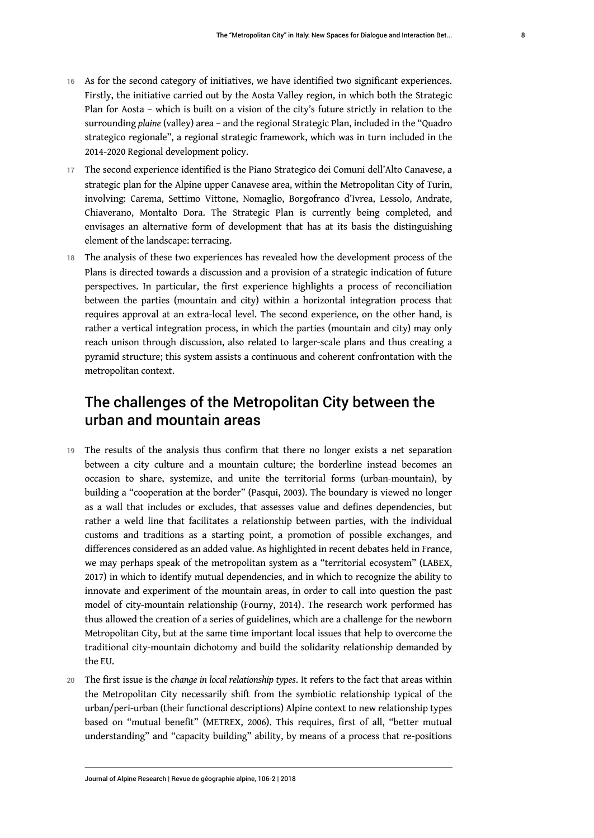- 16 As for the second category of initiatives, we have identified two significant experiences. Firstly, the initiative carried out by the Aosta Valley region, in which both the Strategic Plan for Aosta – which is built on a vision of the city's future strictly in relation to the surrounding *plaine* (valley) area – and the regional Strategic Plan, included in the "Quadro strategico regionale", a regional strategic framework, which was in turn included in the 2014-2020 Regional development policy.
- 17 The second experience identified is the Piano Strategico dei Comuni dell'Alto Canavese, a strategic plan for the Alpine upper Canavese area, within the Metropolitan City of Turin, involving: Carema, Settimo Vittone, Nomaglio, Borgofranco d'Ivrea, Lessolo, Andrate, Chiaverano, Montalto Dora. The Strategic Plan is currently being completed, and envisages an alternative form of development that has at its basis the distinguishing element of the landscape: terracing.
- 18 The analysis of these two experiences has revealed how the development process of the Plans is directed towards a discussion and a provision of a strategic indication of future perspectives. In particular, the first experience highlights a process of reconciliation between the parties (mountain and city) within a horizontal integration process that requires approval at an extra-local level. The second experience, on the other hand, is rather a vertical integration process, in which the parties (mountain and city) may only reach unison through discussion, also related to larger-scale plans and thus creating a pyramid structure; this system assists a continuous and coherent confrontation with the metropolitan context.

### The challenges of the Metropolitan City between the urban and mountain areas

- 19 The results of the analysis thus confirm that there no longer exists a net separation between a city culture and a mountain culture; the borderline instead becomes an occasion to share, systemize, and unite the territorial forms (urban-mountain), by building a "cooperation at the border" (Pasqui, 2003). The boundary is viewed no longer as a wall that includes or excludes, that assesses value and defines dependencies, but rather a weld line that facilitates a relationship between parties, with the individual customs and traditions as a starting point, a promotion of possible exchanges, and differences considered as an added value. As highlighted in recent debates held in France, we may perhaps speak of the metropolitan system as a "territorial ecosystem" (LABEX, 2017) in which to identify mutual dependencies, and in which to recognize the ability to innovate and experiment of the mountain areas, in order to call into question the past model of city-mountain relationship (Fourny, 2014). The research work performed has thus allowed the creation of a series of guidelines, which are a challenge for the newborn Metropolitan City, but at the same time important local issues that help to overcome the traditional city-mountain dichotomy and build the solidarity relationship demanded by the EU.
- <sup>20</sup>The first issue is the *change in local relationship types*. It refers to the fact that areas within the Metropolitan City necessarily shift from the symbiotic relationship typical of the urban/peri-urban (their functional descriptions) Alpine context to new relationship types based on "mutual benefit" (METREX, 2006). This requires, first of all, "better mutual understanding" and "capacity building" ability, by means of a process that re-positions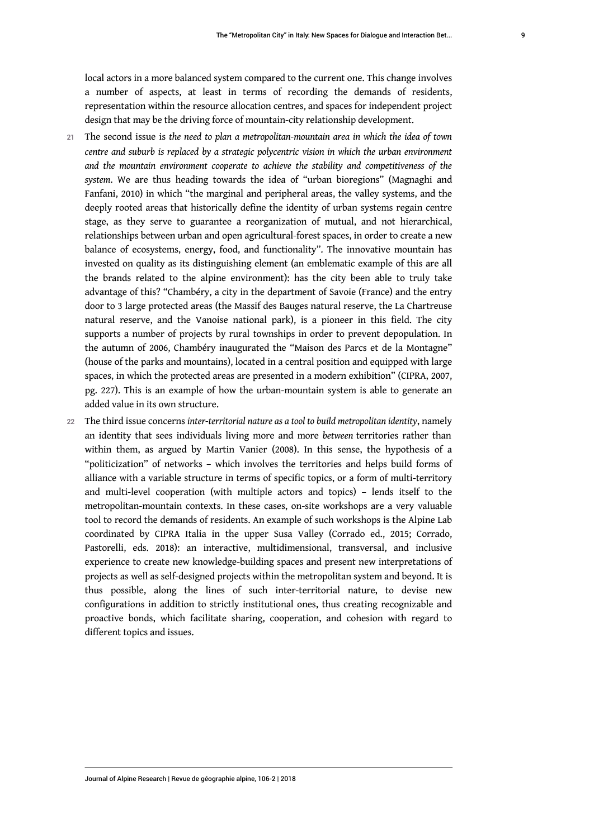local actors in a more balanced system compared to the current one. This change involves a number of aspects, at least in terms of recording the demands of residents, representation within the resource allocation centres, and spaces for independent project design that may be the driving force of mountain-city relationship development.

- <sup>21</sup>The second issue is *the need to plan a metropolitan-mountain area in which the idea of town centre and suburb is replaced by a strategic polycentric vision in which the urban environment and the mountain environment cooperate to achieve the stability and competitiveness of the system*. We are thus heading towards the idea of "urban bioregions" (Magnaghi and Fanfani, 2010) in which "the marginal and peripheral areas, the valley systems, and the deeply rooted areas that historically define the identity of urban systems regain centre stage, as they serve to guarantee a reorganization of mutual, and not hierarchical, relationships between urban and open agricultural-forest spaces, in order to create a new balance of ecosystems, energy, food, and functionality". The innovative mountain has invested on quality as its distinguishing element (an emblematic example of this are all the brands related to the alpine environment): has the city been able to truly take advantage of this? "Chambéry, a city in the department of Savoie (France) and the entry door to 3 large protected areas (the Massif des Bauges natural reserve, the La Chartreuse natural reserve, and the Vanoise national park), is a pioneer in this field. The city supports a number of projects by rural townships in order to prevent depopulation. In the autumn of 2006, Chambéry inaugurated the "Maison des Parcs et de la Montagne" (house of the parks and mountains), located in a central position and equipped with large spaces, in which the protected areas are presented in a modern exhibition" (CIPRA, 2007, pg. 227). This is an example of how the urban-mountain system is able to generate an added value in its own structure.
- <sup>22</sup>The third issue concerns *inter-territorial nature as a tool to build metropolitan identity*, namely an identity that sees individuals living more and more *between* territories rather than within them, as argued by Martin Vanier (2008). In this sense, the hypothesis of a "politicization" of networks – which involves the territories and helps build forms of alliance with a variable structure in terms of specific topics, or a form of multi-territory and multi-level cooperation (with multiple actors and topics) – lends itself to the metropolitan-mountain contexts. In these cases, on-site workshops are a very valuable tool to record the demands of residents. An example of such workshops is the Alpine Lab coordinated by CIPRA Italia in the upper Susa Valley (Corrado ed., 2015; Corrado, Pastorelli, eds. 2018): an interactive, multidimensional, transversal, and inclusive experience to create new knowledge-building spaces and present new interpretations of projects as well as self-designed projects within the metropolitan system and beyond. It is thus possible, along the lines of such inter-territorial nature, to devise new configurations in addition to strictly institutional ones, thus creating recognizable and proactive bonds, which facilitate sharing, cooperation, and cohesion with regard to different topics and issues.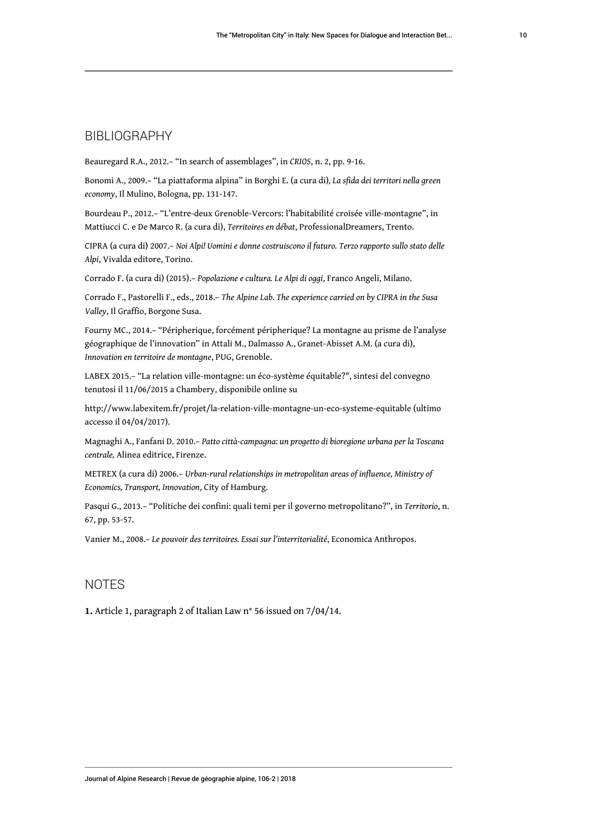#### BIBLIOGRAPHY

Beauregard R.A., 2012.– "In search of assemblages", in *CRIOS*, n. 2, pp. 9-16.

Bonomi A., 2009.– "La piattaforma alpina" in Borghi E. (a cura di)*, La sfida dei territori nella green economy*, Il Mulino, Bologna, pp. 131-147.

Bourdeau P., 2012.– "L'entre-deux Grenoble-Vercors: l'habitabilité croisée ville-montagne", in Mattiucci C. e De Marco R. (a cura di), *Territoires en débat*, ProfessionalDreamers, Trento.

CIPRA (a cura di) 2007.– *Noi Alpi! Uomini e donne costruiscono il futuro. Terzo rapporto sullo stato delle Alpi*, Vivalda editore, Torino.

Corrado F. (a cura di) (2015).– *Popolazione e cultura. Le Alpi di oggi*, Franco Angeli, Milano.

Corrado F., Pastorelli F., eds., 2018.– *The Alpine Lab. The experience carried on by CIPRA in the Susa Valley*, Il Graffio, Borgone Susa.

Fourny MC., 2014.– "Péripherique, forcément péripherique? La montagne au prisme de l'analyse géographique de l'innovation" in Attali M., Dalmasso A., Granet-Abisset A.M. (a cura di), *Innovation en territoire de montagne*, PUG, Grenoble.

LABEX 2015.– "La relation ville-montagne: un éco-système équitable?", sintesi del convegno tenutosi il 11/06/2015 a Chambery, disponibile online su

<http://www.labexitem.fr/projet/la-relation-ville-montagne-un-eco-systeme-equitable>(ultimo accesso il 04/04/2017).

Magnaghi A., Fanfani D. 2010.– *Patto città-campagna: un progetto di bioregione urbana per la Toscana centrale,* Alinea editrice, Firenze.

METREX (a cura di) 2006.– *Urban-rural relationships in metropolitan areas of influence, Ministry of Economics, Transport, Innovation*, City of Hamburg.

Pasqui G., 2013.– "Politiche dei confini: quali temi per il governo metropolitano?", in *Territorio*, n. 67, pp. 53-57.

Vanier M., 2008.– *Le pouvoir des territoires. Essai sur l'interritorialité*, Economica Anthropos.

#### NOTES

<span id="page-11-0"></span>**[1.](#page-4-0)** Article 1, paragraph 2 of Italian Law n° 56 issued on 7/04/14.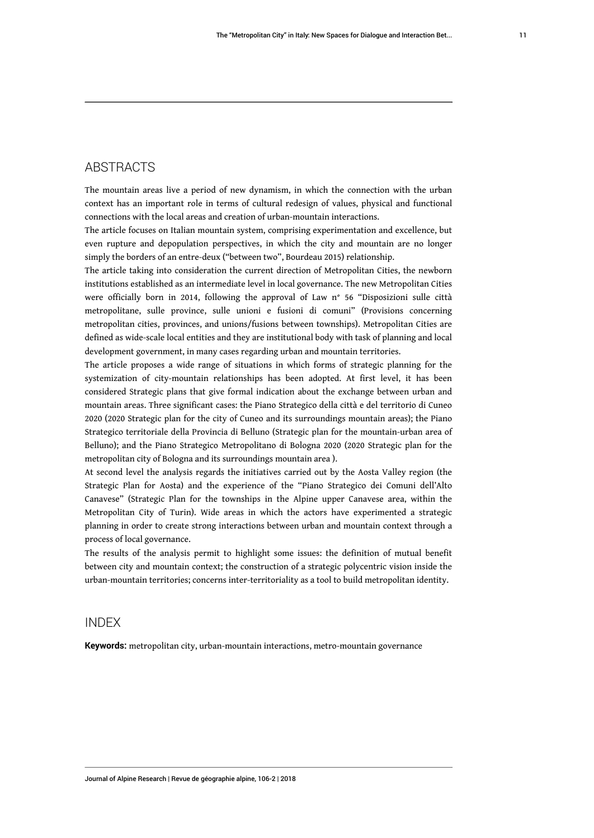#### ABSTRACTS

The mountain areas live a period of new dynamism, in which the connection with the urban context has an important role in terms of cultural redesign of values, physical and functional connections with the local areas and creation of urban-mountain interactions.

The article focuses on Italian mountain system, comprising experimentation and excellence, but even rupture and depopulation perspectives, in which the city and mountain are no longer simply the borders of an entre-deux ("between two", Bourdeau 2015) relationship.

The article taking into consideration the current direction of Metropolitan Cities, the newborn institutions established as an intermediate level in local governance. The new Metropolitan Cities were officially born in 2014, following the approval of Law n° 56 "Disposizioni sulle città metropolitane, sulle province, sulle unioni e fusioni di comuni" (Provisions concerning metropolitan cities, provinces, and unions/fusions between townships). Metropolitan Cities are defined as wide-scale local entities and they are institutional body with task of planning and local development government, in many cases regarding urban and mountain territories.

The article proposes a wide range of situations in which forms of strategic planning for the systemization of city-mountain relationships has been adopted. At first level, it has been considered Strategic plans that give formal indication about the exchange between urban and mountain areas. Three significant cases: the Piano Strategico della città e del territorio di Cuneo 2020 (2020 Strategic plan for the city of Cuneo and its surroundings mountain areas); the Piano Strategico territoriale della Provincia di Belluno (Strategic plan for the mountain-urban area of Belluno); and the Piano Strategico Metropolitano di Bologna 2020 (2020 Strategic plan for the metropolitan city of Bologna and its surroundings mountain area ).

At second level the analysis regards the initiatives carried out by the Aosta Valley region (the Strategic Plan for Aosta) and the experience of the "Piano Strategico dei Comuni dell'Alto Canavese" (Strategic Plan for the townships in the Alpine upper Canavese area, within the Metropolitan City of Turin). Wide areas in which the actors have experimented a strategic planning in order to create strong interactions between urban and mountain context through a process of local governance.

The results of the analysis permit to highlight some issues: the definition of mutual benefit between city and mountain context; the construction of a strategic polycentric vision inside the urban-mountain territories; concerns inter-territoriality as a tool to build metropolitan identity.

#### INDEX

**Keywords:** metropolitan city, urban-mountain interactions, metro-mountain governance